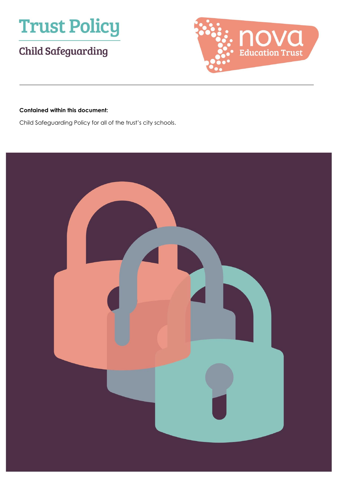

# **Child Safeguarding**



#### **Contained within this document:**

Child Safeguarding Policy for all of the trust's city schools.

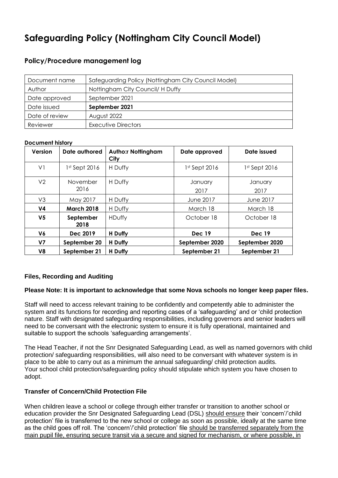# **Safeguarding Policy (Nottingham City Council Model)**

#### **Policy/Procedure management log**

| Document name  | Safeguarding Policy (Nottingham City Council Model) |  |  |
|----------------|-----------------------------------------------------|--|--|
| Author         | Nottingham City Council/ H Duffy                    |  |  |
| Date approved  | September 2021                                      |  |  |
| Date issued    | September 2021                                      |  |  |
| Date of review | August 2022                                         |  |  |
| Reviewer       | Executive Directors                                 |  |  |

#### **Document history**

| <b>Version</b> | Date authored     | <b>Autho:r Nottingham</b><br>City | Date approved   | Date issued     |
|----------------|-------------------|-----------------------------------|-----------------|-----------------|
| V <sub>1</sub> | 1st Sept 2016     | H Duffy                           | $1st$ Sept 2016 | $1st$ Sept 2016 |
| V <sub>2</sub> | November<br>2016  | H Duffy                           | January<br>2017 | January<br>2017 |
| V3             | May 2017          | H Duffy                           | June 2017       | June 2017       |
| V <sub>4</sub> | <b>March 2018</b> | H Duffy                           | March 18        | March 18        |
| V <sub>5</sub> | September<br>2018 | HDuffy                            | October 18      | October 18      |
| V6             | Dec 2019          | H Duffy                           | <b>Dec 19</b>   | <b>Dec 19</b>   |
| V7             | September 20      | H Duffy                           | September 2020  | September 2020  |
| V8             | September 21      | H Duffy                           | September 21    | September 21    |

#### **Files, Recording and Auditing**

#### **Please Note: It is important to acknowledge that some Nova schools no longer keep paper files.**

Staff will need to access relevant training to be confidently and competently able to administer the system and its functions for recording and reporting cases of a 'safeguarding' and or 'child protection nature. Staff with designated safeguarding responsibilities, including governors and senior leaders will need to be conversant with the electronic system to ensure it is fully operational, maintained and suitable to support the schools 'safeguarding arrangements'.

The Head Teacher, if not the Snr Designated Safeguarding Lead, as well as named governors with child protection/ safeguarding responsibilities, will also need to be conversant with whatever system is in place to be able to carry out as a minimum the annual safeguarding/ child protection audits. Your school child protection/safeguarding policy should stipulate which system you have chosen to adopt.

#### **Transfer of Concern/Child Protection File**

When children leave a school or college through either transfer or transition to another school or education provider the Snr Designated Safeguarding Lead (DSL) should ensure their 'concern'/'child protection' file is transferred to the new school or college as soon as possible, ideally at the same time as the child goes off roll. The 'concern'/'child protection' file should be transferred separately from the main pupil file, ensuring secure transit via a secure and signed for mechanism, or where possible, in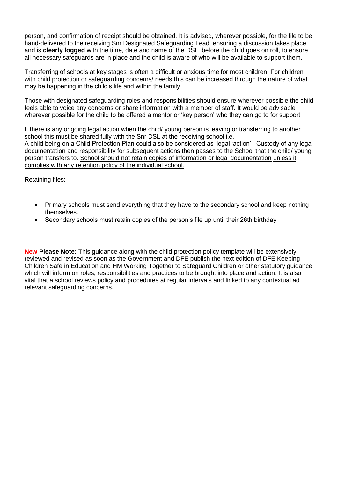person, and confirmation of receipt should be obtained. It is advised, wherever possible, for the file to be hand-delivered to the receiving Snr Designated Safeguarding Lead, ensuring a discussion takes place and is **clearly logged** with the time, date and name of the DSL, before the child goes on roll, to ensure all necessary safeguards are in place and the child is aware of who will be available to support them.

Transferring of schools at key stages is often a difficult or anxious time for most children. For children with child protection or safeguarding concerns/ needs this can be increased through the nature of what may be happening in the child's life and within the family.

Those with designated safeguarding roles and responsibilities should ensure wherever possible the child feels able to voice any concerns or share information with a member of staff. It would be advisable wherever possible for the child to be offered a mentor or 'key person' who they can go to for support.

If there is any ongoing legal action when the child/ young person is leaving or transferring to another school this must be shared fully with the Snr DSL at the receiving school i.e. A child being on a Child Protection Plan could also be considered as 'legal 'action'. Custody of any legal documentation and responsibility for subsequent actions then passes to the School that the child/ young person transfers to. School should not retain copies of information or legal documentation unless it complies with any retention policy of the individual school.

Retaining files:

- Primary schools must send everything that they have to the secondary school and keep nothing themselves.
- Secondary schools must retain copies of the person's file up until their 26th birthday

**New Please Note:** This guidance along with the child protection policy template will be extensively reviewed and revised as soon as the Government and DFE publish the next edition of DFE Keeping Children Safe in Education and HM Working Together to Safeguard Children or other statutory guidance which will inform on roles, responsibilities and practices to be brought into place and action. It is also vital that a school reviews policy and procedures at regular intervals and linked to any contextual ad relevant safeguarding concerns.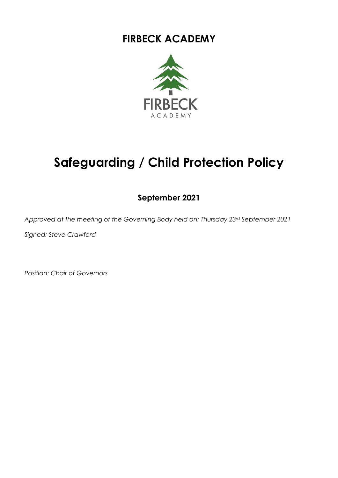# **FIRBECK ACADEMY**



# **Safeguarding / Child Protection Policy**

# **September 2021**

*Approved at the meeting of the Governing Body held on: Thursday 23rd September 2021*

*Signed: Steve Crawford*

*Position: Chair of Governors*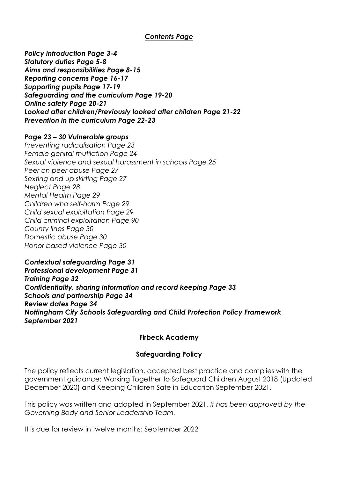#### *Contents Page*

*Policy introduction Page 3-4 Statutory duties Page 5-8 Aims and responsibilities Page 8-15 Reporting concerns Page 16-17 Supporting pupils Page 17-19 Safeguarding and the curriculum Page 19-20 Online safety Page 20-21 Looked after children/Previously looked after children Page 21-22 Prevention in the curriculum Page 22-23*

#### *Page 23 – 30 Vulnerable groups*

*Preventing radicalisation Page 23 Female genital mutilation Page 24 Sexual violence and sexual harassment in schools Page 25 Peer on peer abuse Page 27 Sexting and up skirting Page 27 Neglect Page 28 Mental Health Page 29 Children who self-harm Page 29 Child sexual exploitation Page 29 Child criminal exploitation Page 90 County lines Page 30 Domestic abuse Page 30 Honor based violence Page 30*

*Contextual safeguarding Page 31 Professional development Page 31 Training Page 32 Confidentiality, sharing information and record keeping Page 33 Schools and partnership Page 34 Review dates Page 34 Nottingham City Schools Safeguarding and Child Protection Policy Framework September 2021*

#### **Firbeck Academy**

#### **Safeguarding Policy**

The policy reflects current legislation, accepted best practice and complies with the government guidance: [Working Together to Safeguard Children](http://www.proceduresonline.com/workingtogether/) August 2018 (Updated December 2020) and Keeping Children Safe in Education September 2021.

This policy was written and adopted in September 2021*. It has been approved by the Governing Body and Senior Leadership Team.* 

It is due for review in twelve months: September 2022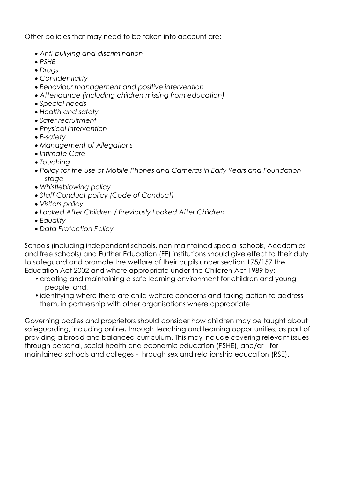Other policies that may need to be taken into account are:

- *Anti-bullying and discrimination*
- *PSHE*
- *Drugs*
- *Confidentiality*
- *Behaviour management and positive intervention*
- *Attendance (including children missing from education)*
- *Special needs*
- *Health and safety*
- *Safer recruitment*
- *Physical intervention*
- *E-safety*
- *Management of Allegations*
- *Intimate Care*
- *Touching*
- *Policy for the use of Mobile Phones and Cameras in Early Years and Foundation stage*
- *Whistleblowing policy*
- *Staff Conduct policy (Code of Conduct)*
- *Visitors policy*
- *Looked After Children / Previously Looked After Children*
- *Equality*
- *Data Protection Policy*

Schools (including independent schools, non-maintained special schools, Academies and free schools) and Further Education (FE) institutions should give effect to their duty to safeguard and promote the welfare of their pupils under section 175/157 the Education Act 2002 and where appropriate under the Children Act 1989 by:

- •creating and maintaining a safe learning environment for children and young people; and,
- •identifying where there are child welfare concerns and taking action to address them, in partnership with other organisations where appropriate.

Governing bodies and proprietors should consider how children may be taught about safeguarding, including online, through teaching and learning opportunities, as part of providing a broad and balanced curriculum. This may include covering relevant issues through personal, social health and economic education (PSHE), and/or - for maintained schools and colleges - through sex and relationship education (RSE).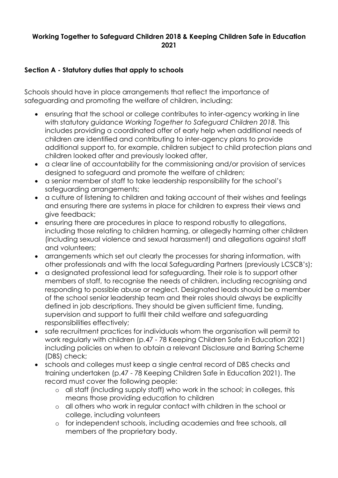#### **Working Together to Safeguard Children 2018 & Keeping Children Safe in Education 2021**

## **Section A - Statutory duties that apply to schools**

Schools should have in place arrangements that reflect the importance of safeguarding and promoting the welfare of children, including:

- ensuring that the school or college contributes to inter-agency working in line with statutory guidance *Working Together to Safeguard Children 2018.* This includes providing a coordinated offer of early help when additional needs of children are identified and contributing to inter-agency plans to provide additional support to, for example, children subject to child protection plans and children looked after and previously looked after,
- a clear line of accountability for the commissioning and/or provision of services designed to safeguard and promote the welfare of children;
- a senior member of staff to take leadership responsibility for the school's safeguarding arrangements;
- a culture of listening to children and taking account of their wishes and feelings and ensuring there are systems in place for children to express their views and give feedback;
- ensuring there are procedures in place to respond robustly to allegations, including those relating to children harming, or allegedly harming other children (including sexual violence and sexual harassment) and allegations against staff and volunteers;
- arrangements which set out clearly the processes for sharing information, with other professionals and with the local Safeguarding Partners (previously LCSCB's);
- a designated professional lead for safeguarding. Their role is to support other members of staff, to recognise the needs of children, including recognising and responding to possible abuse or neglect. Designated leads should be a member of the school senior leadership team and their roles should always be explicitly defined in job descriptions. They should be given sufficient time, funding, supervision and support to fulfil their child welfare and safeguarding responsibilities effectively;
- safe recruitment practices for individuals whom the organisation will permit to work regularly with children (p.47 - 78 Keeping Children Safe in Education 2021) including policies on when to obtain a relevant Disclosure and Barring Scheme (DBS) check;
- schools and colleges must keep a single central record of DBS checks and training undertaken (p.47 - 78 Keeping Children Safe in Education 2021). The record must cover the following people:
	- o all staff (including supply staff) who work in the school; in colleges, this means those providing education to children
	- o all others who work in regular contact with children in the school or college, including volunteers
	- o for independent schools, including academies and free schools, all members of the proprietary body.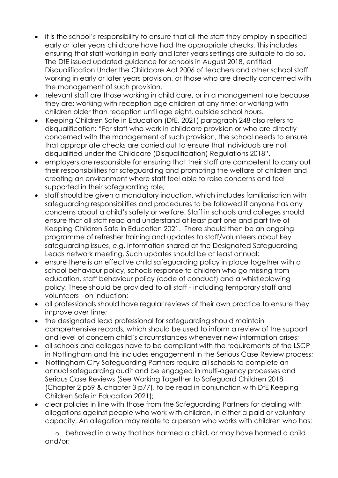- it is the school's responsibility to ensure that all the staff they employ in specified early or later years childcare have had the appropriate checks. This includes ensuring that staff working in early and later years settings are suitable to do so. The DfE issued updated guidance for schools in August 2018, entitled Disqualification Under the Childcare Act 2006 of teachers and other school staff working in early or later years provision, or those who are directly concerned with the management of such provision.
- relevant staff are those working in child care, or in a management role because they are: working with reception age children at any time; or working with children older than reception until age eight, outside school hours.
- Keeping Children Safe in Education (DfE, 2021) paragraph 248 also refers to disqualification: "For staff who work in childcare provision or who are directly concerned with the management of such provision, the school needs to ensure that appropriate checks are carried out to ensure that individuals are not disqualified under the Childcare (Disqualification) Regulations 2018".
- employers are responsible for ensuring that their staff are competent to carry out their responsibilities for safeguarding and promoting the welfare of children and creating an environment where staff feel able to raise concerns and feel supported in their safeguarding role;
- staff should be given a mandatory induction, which includes familiarisation with safeguarding responsibilities and procedures to be followed if anyone has any concerns about a child's safety or welfare. Staff in schools and colleges should ensure that all staff read and understand at least part one and part five of Keeping Children Safe in Education 2021. There should then be an ongoing programme of refresher training and updates to staff/volunteers about key safeguarding issues, e.g. information shared at the Designated Safeguarding Leads network meeting. Such updates should be at least annual;
- ensure there is an effective child safeguarding policy in place together with a school behaviour policy, schools response to children who go missing from education, staff behaviour policy (code of conduct) and a whistleblowing policy. These should be provided to all staff - including temporary staff and volunteers - on induction;
- all professionals should have regular reviews of their own practice to ensure they improve over time;
- the designated lead professional for safeguarding should maintain comprehensive records, which should be used to inform a review of the support and level of concern child's circumstances whenever new information arises;
- all schools and colleges have to be compliant with the requirements of the LSCP in Nottingham and this includes engagement in the Serious Case Review process;
- Nottingham City Safeguarding Partners require all schools to complete an annual safeguarding audit and be engaged in multi-agency processes and Serious Case Reviews (See Working Together to Safeguard Children 2018 (Chapter 2 p59 & chapter 3 p77), to be read in conjunction with DfE Keeping Children Safe in Education 2021);
- clear policies in line with those from the Safeguarding Partners for dealing with allegations against people who work with children, in either a paid or voluntary capacity. An allegation may relate to a person who works with children who has:

o behaved in a way that has harmed a child, or may have harmed a child and/or;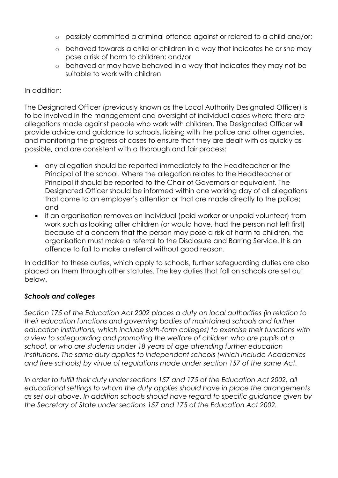- o possibly committed a criminal offence against or related to a child and/or;
- o behaved towards a child or children in a way that indicates he or she may pose a risk of harm to children; and/or
- o behaved or may have behaved in a way that indicates they may not be suitable to work with children

#### In addition:

The Designated Officer (previously known as the Local Authority Designated Officer) is to be involved in the management and oversight of individual cases where there are allegations made against people who work with children. The Designated Officer will provide advice and guidance to schools, liaising with the police and other agencies, and monitoring the progress of cases to ensure that they are dealt with as quickly as possible, and are consistent with a thorough and fair process:

- any allegation should be reported immediately to the Headteacher or the Principal of the school. Where the allegation relates to the Headteacher or Principal it should be reported to the Chair of Governors or equivalent. The Designated Officer should be informed within one working day of all allegations that come to an employer's attention or that are made directly to the police; and
- if an organisation removes an individual (paid worker or unpaid volunteer) from work such as looking after children (or would have, had the person not left first) because of a concern that the person may pose a risk of harm to children, the organisation must make a referral to the Disclosure and Barring Service. It is an offence to fail to make a referral without good reason.

In addition to these duties, which apply to schools, further safeguarding duties are also placed on them through other statutes. The key duties that fall on schools are set out below.

#### *Schools and colleges*

*Section 175 of the Education Act 2002 places a duty on local authorities (in relation to their education functions and governing bodies of maintained schools and further education institutions, which include sixth-form colleges) to exercise their functions with a view to safeguarding and promoting the welfare of children who are pupils at a school, or who are students under 18 years of age attending further education institutions. The same duty applies to independent schools (which include Academies and free schools) by virtue of regulations made under section 157 of the same Act.* 

*In order to fulfill their duty under sections 157 and 175 of the Education Act 2002, all educational settings to whom the duty applies should have in place the arrangements as set out above. In addition schools should have regard to specific guidance given by the Secretary of State under sections 157 and 175 of the Education Act 2002.*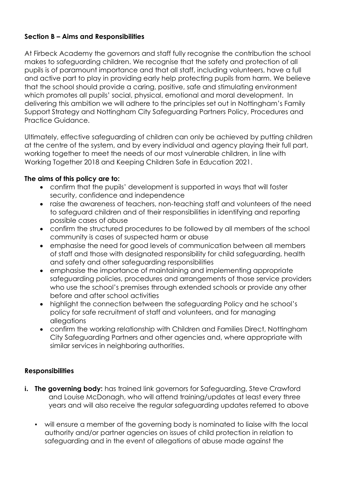# **Section B – Aims and Responsibilities**

At Firbeck Academy the governors and staff fully recognise the contribution the school makes to safeguarding children. We recognise that the safety and protection of all pupils is of paramount importance and that all staff, including volunteers, have a full and active part to play in providing early help protecting pupils from harm. We believe that the school should provide a caring, positive, safe and stimulating environment which promotes all pupils' social, physical, emotional and moral development. In delivering this ambition we will adhere to the principles set out in Nottingham's Family Support Strategy and Nottingham City Safeguarding Partners Policy, Procedures and Practice Guidance.

Ultimately, effective safeguarding of children can only be achieved by putting children at the centre of the system, and by every individual and agency playing their full part, working together to meet the needs of our most vulnerable children, in line with Working Together 2018 and Keeping Children Safe in Education 2021.

#### **The aims of this policy are to:**

- confirm that the pupils' development is supported in ways that will foster security, confidence and independence
- raise the awareness of teachers, non-teaching staff and volunteers of the need to safeguard children and of their responsibilities in identifying and reporting possible cases of abuse
- confirm the structured procedures to be followed by all members of the school community is cases of suspected harm or abuse
- emphasise the need for good levels of communication between all members of staff and those with designated responsibility for child safeguarding, health and safety and other safeguarding responsibilities
- emphasise the importance of maintaining and implementing appropriate safeguarding policies, procedures and arrangements of those service providers who use the school's premises through extended schools or provide any other before and after school activities
- highlight the connection between the safeguarding Policy and he school's policy for safe recruitment of staff and volunteers, and for managing allegations
- confirm the working relationship with Children and Families Direct, Nottingham City Safeguarding Partners and other agencies and, where appropriate with similar services in neighboring authorities.

#### **Responsibilities**

- **i. The governing body:** has trained link governors for Safeguarding, Steve Crawford and Louise McDonagh, who will attend training/updates at least every three years and will also receive the regular safeguarding updates referred to above
	- will ensure a member of the governing body is nominated to liaise with the local authority and/or partner agencies on issues of child protection in relation to safeguarding and in the event of allegations of abuse made against the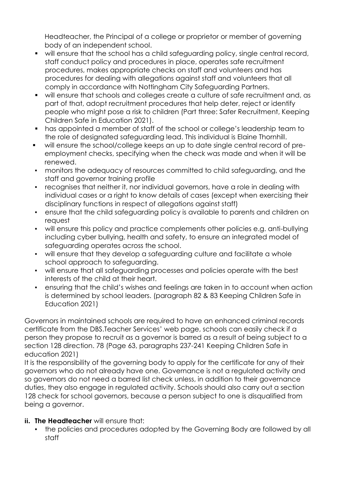Headteacher, the Principal of a college or proprietor or member of governing body of an independent school.

- will ensure that the school has a child safeguarding policy, single central record, staff conduct policy and procedures in place, operates safe recruitment procedures, makes appropriate checks on staff and volunteers and has procedures for dealing with allegations against staff and volunteers that all comply in accordance with Nottingham City Safeguarding Partners.
- will ensure that schools and colleges create a culture of safe recruitment and, as part of that, adopt recruitment procedures that help deter, reject or identify people who might pose a risk to children (Part three: Safer Recruitment, Keeping Children Safe in Education 2021).
- has appointed a member of staff of the school or college's leadership team to the role of designated safeguarding lead. This individual is Elaine Thornhill.
- will ensure the school/college keeps an up to date single central record of preemployment checks, specifying when the check was made and when it will be renewed.
- monitors the adequacy of resources committed to child safeguarding, and the staff and governor training profile
- recognises that neither it, nor individual governors, have a role in dealing with individual cases or a right to know details of cases (except when exercising their disciplinary functions in respect of allegations against staff)
- ensure that the child safeguarding policy is available to parents and children on request
- will ensure this policy and practice complements other policies e.g. anti-bullying including cyber bullying, health and safety, to ensure an integrated model of safeguarding operates across the school.
- will ensure that they develop a safeguarding culture and facilitate a whole school approach to safeguarding.
- will ensure that all safeguarding processes and policies operate with the best interests of the child at their heart.
- ensuring that the child's wishes and feelings are taken in to account when action is determined by school leaders. (paragraph 82 & 83 Keeping Children Safe in Education 2021)

Governors in maintained schools are required to have an enhanced criminal records certificate from the DBS.Teacher Services' web page, schools can easily check if a person they propose to recruit as a governor is barred as a result of being subject to a section 128 direction. 78 (Page 63, paragraphs 237-241 Keeping Children Safe in education 2021)

It is the responsibility of the governing body to apply for the certificate for any of their governors who do not already have one. Governance is not a regulated activity and so governors do not need a barred list check unless, in addition to their governance duties, they also engage in regulated activity. Schools should also carry out a section 128 check for school governors, because a person subject to one is disqualified from being a governor.

- **ii. The Headteacher** will ensure that:
	- the policies and procedures adopted by the Governing Body are followed by all staff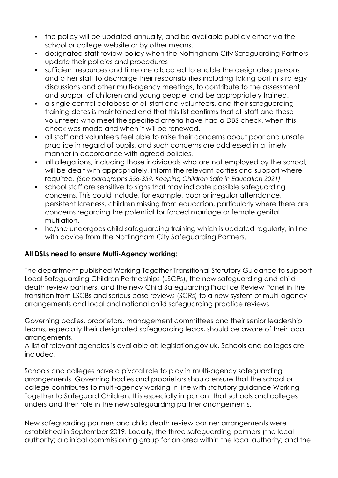- the policy will be updated annually, and be available publicly either via the school or college website or by other means.
- designated staff review policy when the Nottingham City Safeguarding Partners update their policies and procedures
- sufficient resources and time are allocated to enable the designated persons and other staff to discharge their responsibilities including taking part in strategy discussions and other multi-agency meetings, to contribute to the assessment and support of children and young people, and be appropriately trained.
- a single central database of all staff and volunteers, and their safeguarding training dates is maintained and that this list confirms that all staff and those volunteers who meet the specified criteria have had a DBS check, when this check was made and when it will be renewed.
- all staff and volunteers feel able to raise their concerns about poor and unsafe practice in regard of pupils, and such concerns are addressed in a timely manner in accordance with agreed policies.
- all allegations, including those individuals who are not employed by the school, will be dealt with appropriately, inform the relevant parties and support where required. *(See paragraphs 356-359, Keeping Children Safe in Education 2021)*
- school staff are sensitive to signs that may indicate possible safeguarding concerns. This could include, for example, poor or irregular attendance, persistent lateness, children missing from education, particularly where there are concerns regarding the potential for forced marriage or female genital mutilation.
- he/she undergoes child safeguarding training which is updated regularly, in line with advice from the Nottingham City Safeguarding Partners.

#### **All DSLs need to ensure Multi-Agency working:**

The department published Working Together Transitional Statutory Guidance to support Local Safeguarding Children Partnerships (LSCPs), the new safeguarding and child death review partners, and the new Child Safeguarding Practice Review Panel in the transition from LSCBs and serious case reviews (SCRs) to a new system of multi-agency arrangements and local and national child safeguarding practice reviews.

Governing bodies, proprietors, management committees and their senior leadership teams, especially their designated safeguarding leads, should be aware of their local arrangements.

A list of relevant agencies is available at: legislation.gov.uk. Schools and colleges are included.

Schools and colleges have a pivotal role to play in multi-agency safeguarding arrangements. Governing bodies and proprietors should ensure that the school or college contributes to multi-agency working in line with statutory guidance Working Together to Safeguard Children. It is especially important that schools and colleges understand their role in the new safeguarding partner arrangements.

New safeguarding partners and child death review partner arrangements were established in September 2019. Locally, the three safeguarding partners (the local authority; a clinical commissioning group for an area within the local authority; and the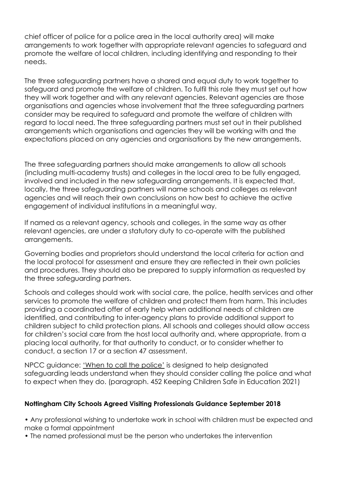chief officer of police for a police area in the local authority area) will make arrangements to work together with appropriate relevant agencies to safeguard and promote the welfare of local children, including identifying and responding to their needs.

The three safeguarding partners have a shared and equal duty to work together to safeguard and promote the welfare of children. To fulfil this role they must set out how they will work together and with any relevant agencies. Relevant agencies are those organisations and agencies whose involvement that the three safeguarding partners consider may be required to safeguard and promote the welfare of children with regard to local need. The three safeguarding partners must set out in their published arrangements which organisations and agencies they will be working with and the expectations placed on any agencies and organisations by the new arrangements.

The three safeguarding partners should make arrangements to allow all schools (including multi-academy trusts) and colleges in the local area to be fully engaged, involved and included in the new safeguarding arrangements. It is expected that, locally, the three safeguarding partners will name schools and colleges as relevant agencies and will reach their own conclusions on how best to achieve the active engagement of individual institutions in a meaningful way.

If named as a relevant agency, schools and colleges, in the same way as other relevant agencies, are under a statutory duty to co-operate with the published arrangements.

Governing bodies and proprietors should understand the local criteria for action and the local protocol for assessment and ensure they are reflected in their own policies and procedures. They should also be prepared to supply information as requested by the three safeguarding partners.

Schools and colleges should work with social care, the police, health services and other services to promote the welfare of children and protect them from harm. This includes providing a coordinated offer of early help when additional needs of children are identified, and contributing to inter-agency plans to provide additional support to children subject to child protection plans. All schools and colleges should allow access for children's social care from the host local authority and, where appropriate, from a placing local authority, for that authority to conduct, or to consider whether to conduct, a section 17 or a section 47 assessment.

NPCC guidance: 'When to call the police' is designed to help designated safeguarding leads understand when they should consider calling the police and what to expect when they do. (paragraph. 452 Keeping Children Safe in Education 2021)

#### **Nottingham City Schools Agreed Visiting Professionals Guidance September 2018**

• Any professional wishing to undertake work in school with children must be expected and make a formal appointment

• The named professional must be the person who undertakes the intervention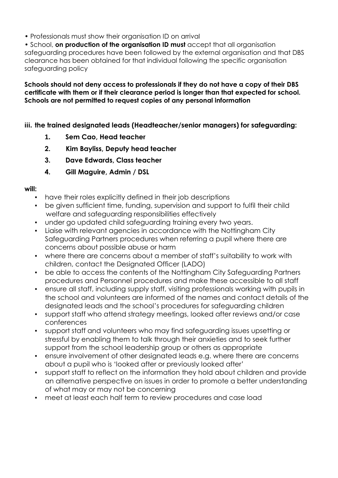• Professionals must show their organisation ID on arrival

• School, **on production of the organisation ID must** accept that all organisation safeguarding procedures have been followed by the external organisation and that DBS clearance has been obtained for that individual following the specific organisation safeguarding policy

**Schools should not deny access to professionals if they do not have a copy of their DBS certificate with them or if their clearance period is longer than that expected for school. Schools are not permitted to request copies of any personal information**

**iii. the trained designated leads (Headteacher/senior managers) for safeguarding:**

- **1. Sem Cao, Head teacher**
- **2. Kim Bayliss, Deputy head teacher**
- **3. Dave Edwards, Class teacher**
- **4. Gill Maguire, Admin / DSL**

#### **will:**

- have their roles explicitly defined in their job descriptions
- be given sufficient time, funding, supervision and support to fulfil their child welfare and safeguarding responsibilities effectively
- under go updated child safeguarding training every two years.
- Liaise with relevant agencies in accordance with the Nottingham City Safeguarding Partners procedures when referring a pupil where there are concerns about possible abuse or harm
- where there are concerns about a member of staff's suitability to work with children, contact the Designated Officer (LADO)
- be able to access the contents of the Nottingham City Safeguarding Partners procedures and Personnel procedures and make these accessible to all staff
- ensure all staff, including supply staff, visiting professionals working with pupils in the school and volunteers are informed of the names and contact details of the designated leads and the school's procedures for safeguarding children
- support staff who attend strategy meetings, looked after reviews and/or case conferences
- support staff and volunteers who may find safeguarding issues upsetting or stressful by enabling them to talk through their anxieties and to seek further support from the school leadership group or others as appropriate
- ensure involvement of other designated leads e.g. where there are concerns about a pupil who is 'looked after or previously looked after'
- support staff to reflect on the information they hold about children and provide an alternative perspective on issues in order to promote a better understanding of what may or may not be concerning
- meet at least each half term to review procedures and case load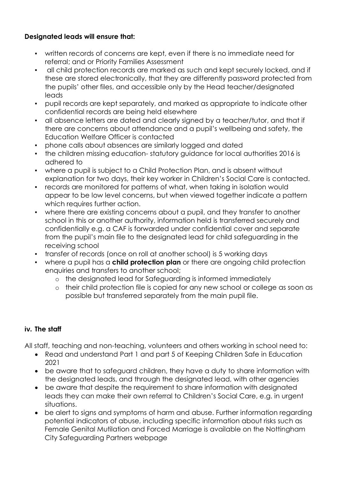#### **Designated leads will ensure that:**

- written records of concerns are kept, even if there is no immediate need for referral; and or Priority Families Assessment
- all child protection records are marked as such and kept securely locked, and if these are stored electronically, that they are differently password protected from the pupils' other files, and accessible only by the Head teacher/designated leads
- pupil records are kept separately, and marked as appropriate to indicate other confidential records are being held elsewhere
- all absence letters are dated and clearly signed by a teacher/tutor, and that if there are concerns about attendance and a pupil's wellbeing and safety, the Education Welfare Officer is contacted
- phone calls about absences are similarly logged and dated
- the children missing education- statutory guidance for local authorities 2016 is adhered to
- where a pupil is subject to a Child Protection Plan, and is absent without explanation for two days, their key worker in Children's Social Care is contacted.
- records are monitored for patterns of what, when taking in isolation would appear to be low level concerns, but when viewed together indicate a pattern which requires further action.
- where there are existing concerns about a pupil, and they transfer to another school in this or another authority, information held is transferred securely and confidentially e.g. a CAF is forwarded under confidential cover and separate from the pupil's main file to the designated lead for child safeguarding in the receiving school
- transfer of records (once on roll at another school) is 5 working days
- where a pupil has a **child protection plan** or there are ongoing child protection enquiries and transfers to another school;
	- o the designated lead for Safeguarding is informed immediately
	- o their child protection file is copied for any new school or college as soon as possible but transferred separately from the main pupil file.

# **iv. The staff**

All staff, teaching and non-teaching, volunteers and others working in school need to:

- Read and understand Part 1 and part 5 of Keeping Children Safe in Education 2021
- be aware that to safeguard children, they have a duty to share information with the designated leads, and through the designated lead, with other agencies
- be aware that despite the requirement to share information with designated leads they can make their own referral to Children's Social Care, e.g. in urgent situations.
- be alert to signs and symptoms of harm and abuse. Further information regarding potential indicators of abuse, including specific information about risks such as Female Genital Mutilation and Forced Marriage is available on the Nottingham City Safeguarding Partners webpage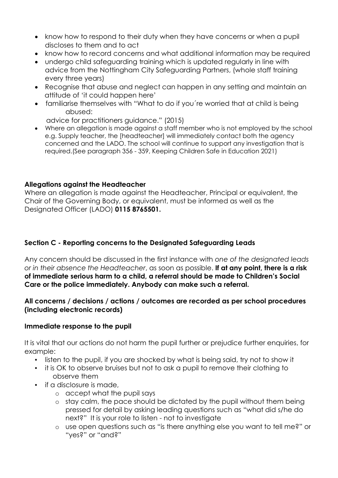- know how to respond to their duty when they have concerns or when a pupil discloses to them and to act
- know how to record concerns and what additional information may be required
- undergo child safeguarding training which is updated regularly in line with advice from the Nottingham City Safeguarding Partners, (whole staff training every three years)
- Recognise that abuse and neglect can happen in any setting and maintain an attitude of 'it could happen here'
- familiarise themselves with "What to do if you´re worried that at child is being abused:

advice for practitioners guidance." (2015)

• Where an allegation is made against a staff member who is not employed by the school e.g. Supply teacher, the [headteacher] will immediately contact both the agency concerned and the LADO. The school will continue to support any investigation that is required.(See paragraph 356 - 359, Keeping Children Safe in Education 2021)

#### **Allegations against the Headteacher**

Where an allegation is made against the Headteacher, Principal or equivalent, the Chair of the Governing Body, or equivalent, must be informed as well as the Designated Officer (LADO) **0115 8765501.**

## **Section C - Reporting concerns to the Designated Safeguarding Leads**

Any concern should be discussed in the first instance with *one of the designated leads or in their absence the Headteacher*, as soon as possible. **If at any point, there is a risk of immediate serious harm to a child, a referral should be made to Children's Social Care or the police immediately. Anybody can make such a referral.**

#### **All concerns / decisions / actions / outcomes are recorded as per school procedures (including electronic records)**

#### **Immediate response to the pupil**

It is vital that our actions do not harm the pupil further or prejudice further enquiries, for example:

- listen to the pupil, if you are shocked by what is being said, try not to show it
- it is OK to observe bruises but not to ask a pupil to remove their clothing to observe them
- **•** if a disclosure is made,
	- o accept what the pupil says
	- o stay calm, the pace should be dictated by the pupil without them being pressed for detail by asking leading questions such as "what did s/he do next?" It is your role to listen - not to investigate
	- o use open questions such as "is there anything else you want to tell me?" or "yes?" or "and?"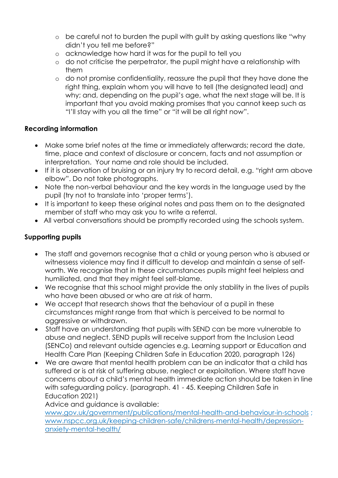- o be careful not to burden the pupil with guilt by asking questions like "why didn't you tell me before?"
- o acknowledge how hard it was for the pupil to tell you
- o do not criticise the perpetrator, the pupil might have a relationship with them
- o do not promise confidentiality, reassure the pupil that they have done the right thing, explain whom you will have to tell (the designated lead) and why; and, depending on the pupil's age, what the next stage will be. It is important that you avoid making promises that you cannot keep such as "I'll stay with you all the time" or "it will be all right now".

# **Recording information**

- Make some brief notes at the time or immediately afterwards; record the date, time, place and context of disclosure or concern, facts and not assumption or interpretation. Your name and role should be included.
- If it is observation of bruising or an injury try to record detail, e.g. "right arm above elbow". Do not take photographs.
- Note the non-verbal behaviour and the key words in the language used by the pupil (try not to translate into 'proper terms').
- It is important to keep these original notes and pass them on to the designated member of staff who may ask you to write a referral.
- All verbal conversations should be promptly recorded using the schools system.

# **Supporting pupils**

- The staff and governors recognise that a child or young person who is abused or witnessess violence may find it difficult to develop and maintain a sense of selfworth. We recognise that in these circumstances pupils might feel helpless and humiliated, and that they might feel self-blame.
- We recognise that this school might provide the only stability in the lives of pupils who have been abused or who are at risk of harm.
- We accept that research shows that the behaviour of a pupil in these circumstances might range from that which is perceived to be normal to aggressive or withdrawn.
- Staff have an understanding that pupils with SEND can be more vulnerable to abuse and neglect. SEND pupils will receive support from the Inclusion Lead (SENCo) and relevant outside agencies e.g. Learning support or Education and Health Care Plan (Keeping Children Safe in Education 2020, paragraph 126)
- We are aware that mental health problem can be an indicator that a child has suffered or is at risk of suffering abuse, neglect or exploitation. Where staff have concerns about a child's mental health immediate action should be taken in line with safeguarding policy. (paragraph. 41 - 45. Keeping Children Safe in Education 2021)

Advice and guidance is available:

[www.gov.uk/government/publications/mental-health-and-behaviour-in-schools](http://www.gov.uk/government/publications/mental-health-and-behaviour-in-schools) ; [www.nspcc.org.uk/keeping-children-safe/childrens-mental-health/depression](http://www.nspcc.org.uk/keeping-children-safe/childrens-mental-health/depression-anxiety-mental-health/)[anxiety-mental-health/](http://www.nspcc.org.uk/keeping-children-safe/childrens-mental-health/depression-anxiety-mental-health/)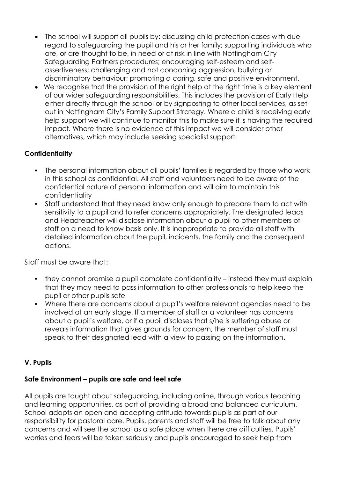- The school will support all pupils by: discussing child protection cases with due regard to safeguarding the pupil and his or her family; supporting individuals who are, or are thought to be, in need or at risk in line with Nottingham City Safeguarding Partners procedures; encouraging self-esteem and selfassertiveness; challenging and not condoning aggression, bullying or discriminatory behaviour; promoting a caring, safe and positive environment.
- We recognise that the provision of the right help at the right time is a key element of our wider safeguarding responsibilities. This includes the provision of Early Help either directly through the school or by signposting to other local services, as set out in Nottingham City's Family Support Strategy. Where a child is receiving early help support we will continue to monitor this to make sure it is having the required impact. Where there is no evidence of this impact we will consider other alternatives, which may include seeking specialist support.

# **Confidentiality**

- The personal information about all pupils' families is regarded by those who work in this school as confidential. All staff and volunteers need to be aware of the confidential nature of personal information and will aim to maintain this confidentiality
- Staff understand that they need know only enough to prepare them to act with sensitivity to a pupil and to refer concerns appropriately. The designated leads and Headteacher will disclose information about a pupil to other members of staff on a need to know basis only. It is inappropriate to provide all staff with detailed information about the pupil, incidents, the family and the consequent actions.

Staff must be aware that:

- they cannot promise a pupil complete confidentiality instead they must explain that they may need to pass information to other professionals to help keep the pupil or other pupils safe
- Where there are concerns about a pupil's welfare relevant agencies need to be involved at an early stage. If a member of staff or a volunteer has concerns about a pupil's welfare, or if a pupil discloses that s/he is suffering abuse or reveals information that gives grounds for concern, the member of staff must speak to their designated lead with a view to passing on the information.

#### **V. Pupils**

#### **Safe Environment – pupils are safe and feel safe**

All pupils are taught about safeguarding, including online, through various teaching and learning opportunities, as part of providing a broad and balanced curriculum. School adopts an open and accepting attitude towards pupils as part of our responsibility for pastoral care. Pupils, parents and staff will be free to talk about any concerns and will see the school as a safe place when there are difficulties. Pupils' worries and fears will be taken seriously and pupils encouraged to seek help from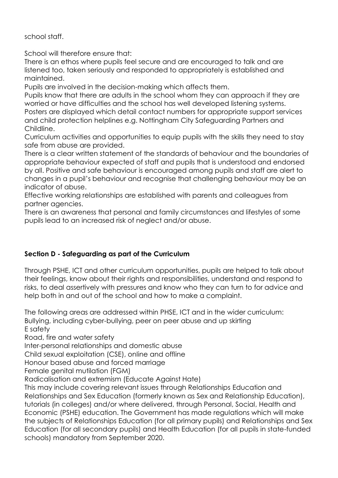school staff.

School will therefore ensure that:

There is an ethos where pupils feel secure and are encouraged to talk and are listened too, taken seriously and responded to appropriately is established and maintained.

Pupils are involved in the decision-making which affects them.

Pupils know that there are adults in the school whom they can approach if they are worried or have difficulties and the school has well developed listening systems. Posters are displayed which detail contact numbers for appropriate support services and child protection helplines e.g. Nottingham City Safeguarding Partners and Childline.

Curriculum activities and opportunities to equip pupils with the skills they need to stay safe from abuse are provided.

There is a clear written statement of the standards of behaviour and the boundaries of appropriate behaviour expected of staff and pupils that is understood and endorsed by all. Positive and safe behaviour is encouraged among pupils and staff are alert to changes in a pupil's behaviour and recognise that challenging behaviour may be an indicator of abuse.

Effective working relationships are established with parents and colleagues from partner agencies.

There is an awareness that personal and family circumstances and lifestyles of some pupils lead to an increased risk of neglect and/or abuse.

# **Section D - Safeguarding as part of the Curriculum**

Through PSHE, ICT and other curriculum opportunities, pupils are helped to talk about their feelings, know about their rights and responsibilities, understand and respond to risks, to deal assertively with pressures and know who they can turn to for advice and help both in and out of the school and how to make a complaint.

The following areas are addressed within PHSE, ICT and in the wider curriculum: Bullying, including cyber-bullying, peer on peer abuse and up skirting E safety

Road, fire and water safety

Inter-personal relationships and domestic abuse

Child sexual exploitation (CSE), online and offline

Honour based abuse and forced marriage

Female genital mutilation (FGM)

Radicalisation and extremism (Educate Against Hate)

This may include covering relevant issues through Relationships Education and Relationships and Sex Education (formerly known as Sex and Relationship Education), tutorials (in colleges) and/or where delivered, through Personal, Social, Health and Economic (PSHE) education. The Government has made regulations which will make the subjects of Relationships Education (for all primary pupils) and Relationships and Sex Education (for all secondary pupils) and Health Education (for all pupils in state-funded schools) mandatory from September 2020.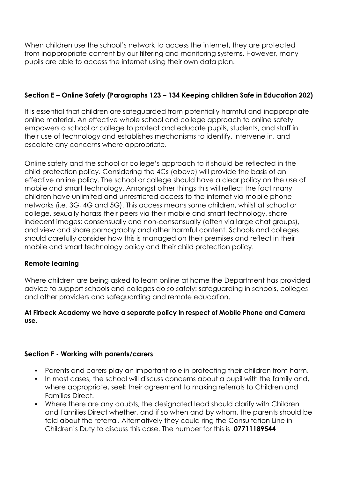When children use the school's network to access the internet, they are protected from inappropriate content by our filtering and monitoring systems. However, many pupils are able to access the internet using their own data plan.

# **Section E – Online Safety (Paragraphs 123 – 134 Keeping children Safe in Education 202)**

It is essential that children are safeguarded from potentially harmful and inappropriate online material. An effective whole school and college approach to online safety empowers a school or college to protect and educate pupils, students, and staff in their use of technology and establishes mechanisms to identify, intervene in, and escalate any concerns where appropriate.

Online safety and the school or college's approach to it should be reflected in the child protection policy. Considering the 4Cs (above) will provide the basis of an effective online policy. The school or college should have a clear policy on the use of mobile and smart technology. Amongst other things this will reflect the fact many children have unlimited and unrestricted access to the internet via mobile phone networks (i.e. 3G, 4G and 5G). This access means some children, whilst at school or college, sexually harass their peers via their mobile and smart technology, share indecent images: consensually and non-consensually (often via large chat groups), and view and share pornography and other harmful content. Schools and colleges should carefully consider how this is managed on their premises and reflect in their mobile and smart technology policy and their child protection policy.

#### **Remote learning**

Where children are being asked to learn online at home the Department has provided advice to support schools and colleges do so safely: safeguarding in schools, colleges and other providers and safeguarding and remote education.

#### **At Firbeck Academy we have a separate policy in respect of Mobile Phone and Camera use.**

# **Section F - Working with parents/carers**

- Parents and carers play an important role in protecting their children from harm.
- In most cases, the school will discuss concerns about a pupil with the family and, where appropriate, seek their agreement to making referrals to Children and Families Direct.
- Where there are any doubts, the designated lead should clarify with Children and Families Direct whether, and if so when and by whom, the parents should be told about the referral. Alternatively they could ring the Consultation Line in Children's Duty to discuss this case. The number for this is **07711189544**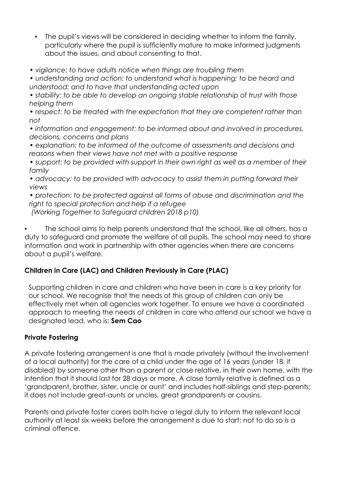- The pupil's views will be considered in deciding whether to inform the family, particularly where the pupil is sufficiently mature to make informed judgments about the issues, and about consenting to that.
- *vigilance: to have adults notice when things are troubling them*

*• understanding and action: to understand what is happening; to be heard and understood; and to have that understanding acted upon*

*• stability: to be able to develop an ongoing stable relationship of trust with those helping them*

*• respect: to be treated with the expectation that they are competent rather than not*

*• information and engagement: to be informed about and involved in procedures, decisions, concerns and plans*

*• explanation: to be informed of the outcome of assessments and decisions and reasons when their views have not met with a positive response*

*• support: to be provided with support in their own right as well as a member of their family*

*• advocacy: to be provided with advocacy to assist them in putting forward their views*

*• protection: to be protected against all forms of abuse and discrimination and the right to special protection and help if a refugee (Working Together to Safeguard children 2018 p10)*

The school aims to help parents understand that the school, like all others, has a duty to safeguard and promote the welfare of all pupils. The school may need to share information and work in partnership with other agencies when there are concerns about a pupil's welfare.

# **Children in Care (LAC) and Children Previously in Care (PLAC)**

Supporting children in care and children who have been in care is a key priority for our school. We recognise that the needs of this group of children can only be effectively met when all agencies work together. To ensure we have a coordinated approach to meeting the needs of children in care who attend our school we have a designated lead, who is: **Sem Cao**

# **Private Fostering**

A private fostering arrangement is one that is made privately (without the involvement of a local authority) for the care of a child under the age of 16 years (under 18, if disabled) by someone other than a parent or close relative, in their own home, with the intention that it should last for 28 days or more. A close family relative is defined as a 'grandparent, brother, sister, uncle or aunt' and includes half-siblings and step-parents; it does not include great-aunts or uncles, great grandparents or cousins.

Parents and private foster carers both have a legal duty to inform the relevant local authority at least six weeks before the arrangement is due to start; not to do so is a criminal offence.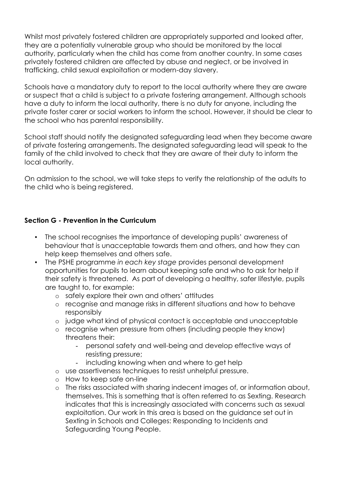Whilst most privately fostered children are appropriately supported and looked after, they are a potentially vulnerable group who should be monitored by the local authority, particularly when the child has come from another country. In some cases privately fostered children are affected by abuse and neglect, or be involved in trafficking, child sexual exploitation or modern-day slavery.

Schools have a mandatory duty to report to the local authority where they are aware or suspect that a child is subject to a private fostering arrangement. Although schools have a duty to inform the local authority, there is no duty for anyone, including the private foster carer or social workers to inform the school. However, it should be clear to the school who has parental responsibility.

School staff should notify the designated safeguarding lead when they become aware of private fostering arrangements. The designated safeguarding lead will speak to the family of the child involved to check that they are aware of their duty to inform the local authority.

On admission to the school, we will take steps to verify the relationship of the adults to the child who is being registered.

#### **Section G - Prevention in the Curriculum**

- The school recognises the importance of developing pupils' awareness of behaviour that is unacceptable towards them and others, and how they can help keep themselves and others safe.
- The PSHE programme *in each key stage* provides personal development opportunities for pupils to learn about keeping safe and who to ask for help if their safety is threatened. As part of developing a healthy, safer lifestyle, pupils are taught to, for example:
	- o safely explore their own and others' attitudes
	- o recognise and manage risks in different situations and how to behave responsibly
	- o judge what kind of physical contact is acceptable and unacceptable
	- o recognise when pressure from others (including people they know) threatens their:
		- personal safety and well-being and develop effective ways of resisting pressure;
		- including knowing when and where to get help
	- o use assertiveness techniques to resist unhelpful pressure.
	- o How to keep safe on-line
	- o The risks associated with sharing indecent images of, or information about, themselves. This is something that is often referred to as Sexting. Research indicates that this is increasingly associated with concerns such as sexual exploitation. Our work in this area is based on the guidance set out in Sexting in Schools and Colleges: Responding to Incidents and Safeguarding Young People.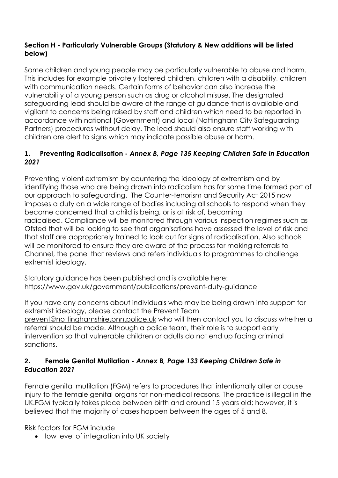#### **Section H - Particularly Vulnerable Groups (Statutory & New additions will be listed below)**

Some children and young people may be particularly vulnerable to abuse and harm. This includes for example privately fostered children, children with a disability, children with communication needs. Certain forms of behavior can also increase the vulnerability of a young person such as drug or alcohol misuse. The designated safeguarding lead should be aware of the range of guidance that is available and vigilant to concerns being raised by staff and children which need to be reported in accordance with national (Government) and local (Nottingham City Safeguarding Partners) procedures without delay. The lead should also ensure staff working with children are alert to signs which may indicate possible abuse or harm.

# **1. Preventing Radicalisation -** *Annex B, Page 135 Keeping Children Safe in Education 2021*

Preventing violent extremism by countering the ideology of extremism and by identifying those who are being drawn into radicalism has for some time formed part of our approach to safeguarding. The Counter-terrorism and Security Act 2015 now imposes a duty on a wide range of bodies including all schools to respond when they become concerned that a child is being, or is at risk of, becoming radicalised. Compliance will be monitored through various inspection regimes such as Ofsted that will be looking to see that organisations have assessed the level of risk and that staff are appropriately trained to look out for signs of radicalisation. Also schools will be monitored to ensure they are aware of the process for making referrals to Channel, the panel that reviews and refers individuals to programmes to challenge extremist ideology.

Statutory guidance has been published and is available here: <https://www.gov.uk/government/publications/prevent-duty-guidance>

If you have any concerns about individuals who may be being drawn into support for extremist ideology, please contact the Prevent Team [prevent@nottinghamshire.pnn.police.uk](mailto:prevent@nottinghamshire.pnn.police.uk) who will then contact you to discuss whether a referral should be made. Although a police team, their role is to support early intervention so that vulnerable children or adults do not end up facing criminal sanctions.

# **2. Female Genital Mutilation -** *Annex B, Page 133 Keeping Children Safe in Education 2021*

Female genital mutilation (FGM) refers to procedures that intentionally alter or cause injury to the female genital organs for non-medical reasons. The practice is illegal in the UK.FGM typically takes place between birth and around 15 years old; however, it is believed that the majority of cases happen between the ages of 5 and 8.

Risk factors for FGM include

• low level of integration into UK society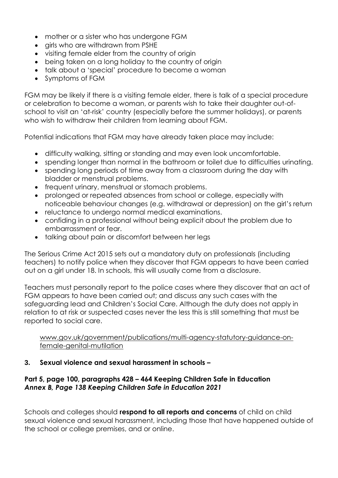- mother or a sister who has undergone FGM
- girls who are withdrawn from PSHE
- visiting female elder from the country of origin
- being taken on a long holiday to the country of origin
- talk about a 'special' procedure to become a woman
- Symptoms of FGM

FGM may be likely if there is a visiting female elder, there is talk of a special procedure or celebration to become a woman, or parents wish to take their daughter out-ofschool to visit an 'at-risk' country (especially before the summer holidays), or parents who wish to withdraw their children from learning about FGM.

Potential indications that FGM may have already taken place may include:

- difficulty walking, sitting or standing and may even look uncomfortable.
- spending longer than normal in the bathroom or toilet due to difficulties urinating.
- spending long periods of time away from a classroom during the day with bladder or menstrual problems.
- frequent urinary, menstrual or stomach problems.
- prolonged or repeated absences from school or college, especially with noticeable behaviour changes (e.g. withdrawal or depression) on the girl's return
- reluctance to undergo normal medical examinations.
- confiding in a professional without being explicit about the problem due to embarrassment or fear.
- talking about pain or discomfort between her legs

The Serious Crime Act 2015 sets out a mandatory duty on professionals (including teachers) to notify police when they discover that FGM appears to have been carried out on a girl under 18. In schools, this will usually come from a disclosure.

Teachers must personally report to the police cases where they discover that an act of FGM appears to have been carried out; and discuss any such cases with the safeguarding lead and Children's Social Care. Although the duty does not apply in relation to at risk or suspected cases never the less this is still something that must be reported to social care.

[www.gov.uk/government/publications/multi-agency-statutory-guidance-on](http://www.gov.uk/government/publications/multi-agency-statutory-guidance-on-female-genital-mutilation)[female-genital-mutilation](http://www.gov.uk/government/publications/multi-agency-statutory-guidance-on-female-genital-mutilation)

#### **3. Sexual violence and sexual harassment in schools –**

#### **Part 5, page 100, paragraphs 428 – 464 Keeping Children Safe in Education**  *Annex B, Page 138 Keeping Children Safe in Education 2021*

Schools and colleges should **respond to all reports and concerns** of child on child sexual violence and sexual harassment, including those that have happened outside of the school or college premises, and or online.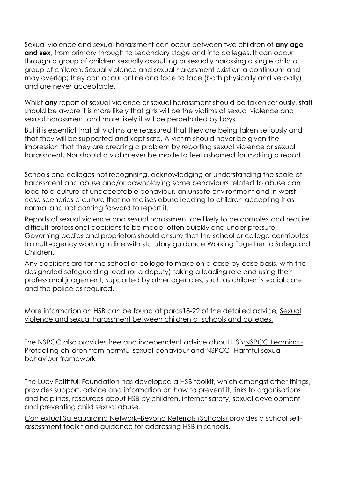Sexual violence and sexual harassment can occur between two children of **any age and sex**, from primary through to secondary stage and into colleges. It can occur through a group of children sexually assaulting or sexually harassing a single child or group of children. Sexual violence and sexual harassment exist on a continuum and may overlap; they can occur online and face to face (both physically and verbally) and are never acceptable.

Whilst **any** report of sexual violence or sexual harassment should be taken seriously, staff should be aware it is more likely that girls will be the victims of sexual violence and sexual harassment and more likely it will be perpetrated by boys.

But it is essential that all victims are reassured that they are being taken seriously and that they will be supported and kept safe. A victim should never be given the impression that they are creating a problem by reporting sexual violence or sexual harassment. Nor should a victim ever be made to feel ashamed for making a report

Schools and colleges not recognising, acknowledging or understanding the scale of harassment and abuse and/or downplaying some behaviours related to abuse can lead to a culture of unacceptable behaviour, an unsafe environment and in worst case scenarios a culture that normalises abuse leading to children accepting it as normal and not coming forward to report it.

Reports of sexual violence and sexual harassment are likely to be complex and require difficult professional decisions to be made, often quickly and under pressure. Governing bodies and proprietors should ensure that the school or college contributes to multi-agency working in line with statutory guidance Working Together to Safeguard Children.

Any decisions are for the school or college to make on a case-by-case basis, with the designated safeguarding lead (or a deputy) taking a leading role and using their professional judgement, supported by other agencies, such as children's social care and the police as required.

More information on HSB can be found at paras18-22 of the detailed advice, Sexual violence and sexual harassment between children at schools and colleges.

The NSPCC also provides free and independent advice about HSB:NSPCC Learning - Protecting children from harmful sexual behaviour and NSPCC -Harmful sexual behaviour framework

The Lucy Faithfull Foundation has developed a HSB toolkit, which amongst other things, provides support, advice and information on how to prevent it, links to organisations and helplines, resources about HSB by children, internet safety, sexual development and preventing child sexual abuse.

Contextual Safeguarding Network–Beyond Referrals (Schools) provides a school selfassessment toolkit and guidance for addressing HSB in schools.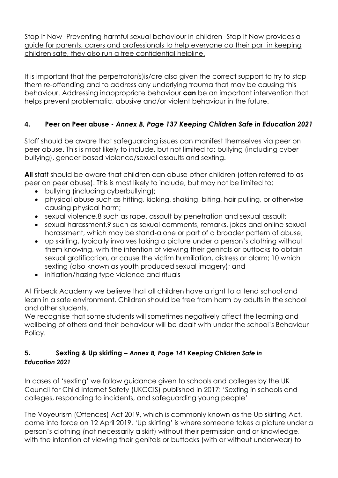Stop It Now -Preventing harmful sexual behaviour in children -Stop It Now provides a guide for parents, carers and professionals to help everyone do their part in keeping children safe, they also run a free confidential helpline.

It is important that the perpetrator(s)is/are also given the correct support to try to stop them re-offending and to address any underlying trauma that may be causing this behaviour. Addressing inappropriate behaviour **can** be an important intervention that helps prevent problematic, abusive and/or violent behaviour in the future.

# **4. Peer on Peer abuse -** *Annex B, Page 137 Keeping Children Safe in Education 2021*

Staff should be aware that safeguarding issues can manifest themselves via peer on peer abuse. This is most likely to include, but not limited to: bullying (including cyber bullying), gender based violence/sexual assaults and sexting.

**All** staff should be aware that children can abuse other children (often referred to as peer on peer abuse). This is most likely to include, but may not be limited to:

- bullying (including cyberbullying);
- physical abuse such as hitting, kicking, shaking, biting, hair pulling, or otherwise causing physical harm;
- sexual violence,8 such as rape, assault by penetration and sexual assault;
- sexual harassment,9 such as sexual comments, remarks, jokes and online sexual harassment, which may be stand-alone or part of a broader pattern of abuse;
- up skirting, typically involves taking a picture under a person's clothing without them knowing, with the intention of viewing their genitals or buttocks to obtain sexual gratification, or cause the victim humiliation, distress or alarm; 10 which sexting (also known as youth produced sexual imagery); and
- initiation/hazing type violence and rituals

At Firbeck Academy we believe that all children have a right to attend school and learn in a safe environment. Children should be free from harm by adults in the school and other students.

We recognise that some students will sometimes negatively affect the learning and wellbeing of others and their behaviour will be dealt with under the school's Behaviour Policy.

# **5. Sexting & Up skirting –** *Annex B, Page 141 Keeping Children Safe in Education 2021*

In cases of 'sexting' we follow guidance given to schools and colleges by the UK Council for Child Internet Safety (UKCCIS) published in 2017: 'Sexting in schools and colleges, responding to incidents, and safeguarding young people'

The Voyeurism (Offences) Act 2019, which is commonly known as the Up skirting Act, came into force on 12 April 2019. 'Up skirting' is where someone takes a picture under a person's clothing (not necessarily a skirt) without their permission and or knowledge, with the intention of viewing their genitals or buttocks (with or without underwear) to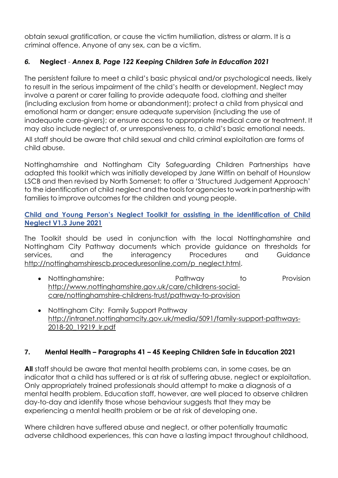obtain sexual gratification, or cause the victim humiliation, distress or alarm. It is a criminal offence. Anyone of any sex, can be a victim.

# *6.* **Neglect** - *Annex B, Page 122 Keeping Children Safe in Education 2021*

The persistent failure to meet a child's basic physical and/or psychological needs, likely to result in the serious impairment of the child's health or development. Neglect may involve a parent or carer failing to provide adequate food, clothing and shelter (including exclusion from home or abandonment); protect a child from physical and emotional harm or danger; ensure adequate supervision (including the use of inadequate care-givers); or ensure access to appropriate medical care or treatment. It may also include neglect of, or unresponsiveness to, a child's basic emotional needs.

All staff should be aware that child sexual and child criminal exploitation are forms of child abuse.

Nottinghamshire and Nottingham City Safeguarding Children Partnerships have adapted this toolkit which was initially developed by Jane Wiffin on behalf of Hounslow LSCB and then revised by North Somerset; to offer a 'Structured Judgement Approach' to the identification of child neglect and the tools for agencies to work in partnership with families to improve outcomes for the children and young people.

#### **Child and Young Person's Neglect Toolkit for assisting in the identification of Child Neglect V1.3 June 2021**

The Toolkit should be used in conjunction with the local Nottinghamshire and Nottingham City Pathway documents which provide guidance on thresholds for services, and the interagency Procedures and Guidance [http://nottinghamshirescb.proceduresonline.com/p\\_neglect.html.](http://nottinghamshirescb.proceduresonline.com/p_neglect.html)

- Nottinghamshire: Pathway to Provision [http://www.nottinghamshire.gov.uk/care/childrens-social](http://www.nottinghamshire.gov.uk/care/childrens-social-care/nottinghamshire-childrens-trust/pathway-to-provision)[care/nottinghamshire-childrens-trust/pathway-to-provision](http://www.nottinghamshire.gov.uk/care/childrens-social-care/nottinghamshire-childrens-trust/pathway-to-provision)
- Nottingham City: Family Support Pathway [http://intranet.nottinghamcity.gov.uk/media/5091/family-support-pathways-](http://intranet.nottinghamcity.gov.uk/media/5091/family-support-pathways-2018-20_19219_lr.pdf)[2018-20\\_19219\\_lr.pdf](http://intranet.nottinghamcity.gov.uk/media/5091/family-support-pathways-2018-20_19219_lr.pdf)

# **7. Mental Health – Paragraphs 41 – 45 Keeping Children Safe in Education 2021**

**All** staff should be aware that mental health problems can, in some cases, be an indicator that a child has suffered or is at risk of suffering abuse, neglect or exploitation. Only appropriately trained professionals should attempt to make a diagnosis of a mental health problem. Education staff, however, are well placed to observe children day-to-day and identify those whose behaviour suggests that they may be experiencing a mental health problem or be at risk of developing one.

Where children have suffered abuse and neglect, or other potentially traumatic adverse childhood experiences, this can have a lasting impact throughout childhood,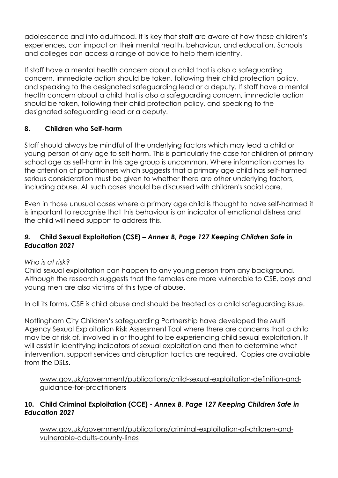adolescence and into adulthood. It is key that staff are aware of how these children's experiences, can impact on their mental health, behaviour, and education. Schools and colleges can access a range of advice to help them identify.

If staff have a mental health concern about a child that is also a safeguarding concern, immediate action should be taken, following their child protection policy, and speaking to the designated safeguarding lead or a deputy. If staff have a mental health concern about a child that is also a safeguarding concern, immediate action should be taken, following their child protection policy, and speaking to the designated safeguarding lead or a deputy.

# **8. Children who Self-harm**

Staff should always be mindful of the underlying factors which may lead a child or young person of any age to self-harm. This is particularly the case for children of primary school age as self-harm in this age group is uncommon. Where information comes to the attention of practitioners which suggests that a primary age child has self-harmed serious consideration must be given to whether there are other underlying factors, including abuse. All such cases should be discussed with children's social care.

Even in those unusual cases where a primary age child is thought to have self-harmed it is important to recognise that this behaviour is an indicator of emotional distress and the child will need support to address this.

#### *9.* **Child Sexual Exploitation (CSE) –** *Annex B, Page 127 Keeping Children Safe in Education 2021*

#### *Who is at risk?*

Child sexual exploitation can happen to any young person from any background. Although the research suggests that the females are more vulnerable to CSE, boys and young men are also victims of this type of abuse.

In all its forms, CSE is child abuse and should be treated as a child safeguarding issue.

Nottingham City Children's safeguarding Partnership have developed the Multi Agency Sexual Exploitation Risk Assessment Tool where there are concerns that a child may be at risk of, involved in or thought to be experiencing child sexual exploitation. It will assist in identifying indicators of sexual exploitation and then to determine what intervention, support services and disruption tactics are required. Copies are available from the DSLs.

[www.gov.uk/government/publications/child-sexual-exploitation-definition-and](http://www.gov.uk/government/publications/child-sexual-exploitation-definition-and-guidance-for-practitioners)[guidance-for-practitioners](http://www.gov.uk/government/publications/child-sexual-exploitation-definition-and-guidance-for-practitioners)

# **10. Child Criminal Exploitation (CCE) -** *Annex B, Page 127 Keeping Children Safe in Education 2021*

[www.gov.uk/government/publications/criminal-exploitation-of-children-and](http://www.gov.uk/government/publications/criminal-exploitation-of-children-and-vulnerable-adults-county-lines)[vulnerable-adults-county-lines](http://www.gov.uk/government/publications/criminal-exploitation-of-children-and-vulnerable-adults-county-lines)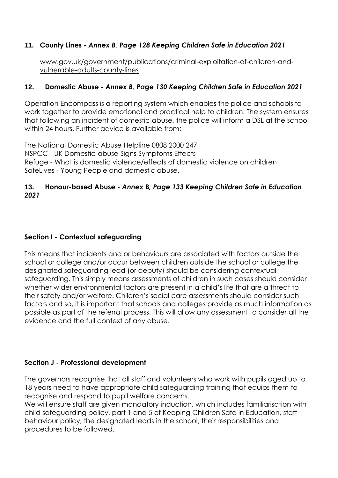# *11.* **County Lines -** *Annex B, Page 128 Keeping Children Safe in Education 2021*

[www.gov.uk/government/publications/criminal-exploitation-of-children-and](http://www.gov.uk/government/publications/criminal-exploitation-of-children-and-vulnerable-adults-county-lines)[vulnerable-adults-county-lines](http://www.gov.uk/government/publications/criminal-exploitation-of-children-and-vulnerable-adults-county-lines)

#### **12. Domestic Abuse -** *Annex B, Page 130 Keeping Children Safe in Education 2021*

Operation Encompass is a reporting system which enables the police and schools to work together to provide emotional and practical help to children. The system ensures that following an incident of domestic abuse, the police will inform a DSL at the school within 24 hours. Further advice is available from:

The National Domestic Abuse Helpline 0808 2000 247 NSPCC - UK Domestic-abuse Signs Symptoms Effects Refuge - What is domestic violence/effects of domestic violence on children SafeLives - Young People and domestic abuse.

#### **13. Honour-based Abuse -** *Annex B, Page 133 Keeping Children Safe in Education 2021*

#### **Section I - Contextual safeguarding**

This means that incidents and or behaviours are associated with factors outside the school or college and/or occur between children outside the school or college the designated safeguarding lead (or deputy) should be considering contextual safeguarding. This simply means assessments of children in such cases should consider whether wider environmental factors are present in a child's life that are a threat to their safety and/or welfare. Children's social care assessments should consider such factors and so, it is important that schools and colleges provide as much information as possible as part of the referral process. This will allow any assessment to consider all the evidence and the full context of any abuse.

#### **Section J - Professional development**

The governors recognise that all staff and volunteers who work with pupils aged up to 18 years need to have appropriate child safeguarding training that equips them to recognise and respond to pupil welfare concerns.

We will ensure staff are given mandatory induction, which includes familiarisation with child safeguarding policy, part 1 and 5 of Keeping Children Safe in Education, staff behaviour policy, the designated leads in the school, their responsibilities and procedures to be followed.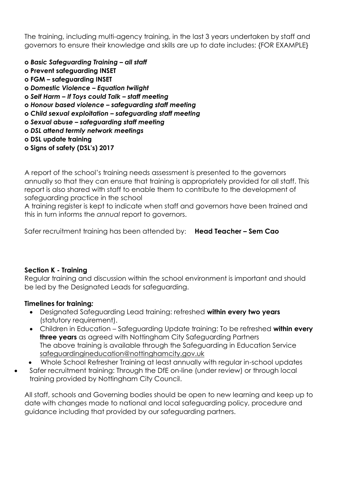The training, including multi-agency training, in the last 3 years undertaken by staff and governors to ensure their knowledge and skills are up to date includes: {FOR EXAMPLE}

- **o** *Basic Safeguarding Training – all staff*
- **o Prevent safeguarding INSET**
- **o FGM – safeguarding INSET**
- **o** *Domestic Violence – Equation twilight*
- **o** *Self Harm – If Toys could Talk – staff meeting*
- **o** *Honour based violence – safeguarding staff meeting*
- **o** *Child sexual exploitation – safeguarding staff meeting*
- **o** *Sexual abuse – safeguarding staff meeting*
- **o** *DSL attend termly network meetings*
- **o DSL update training**
- **o Signs of safety (DSL's) 2017**

A report of the school's training needs assessment is presented to the governors annually so that they can ensure that training is appropriately provided for all staff. This report is also shared with staff to enable them to contribute to the development of safeguarding practice in the school

A training register is kept to indicate when staff and governors have been trained and this in turn informs the *annual* report to governors.

Safer recruitment training has been attended by: **Head Teacher – Sem Cao**

#### **Section K - Training**

Regular training and discussion within the school environment is important and should be led by the Designated Leads for safeguarding.

#### **Timelines for training***:*

- Designated Safeguarding Lead training: refreshed **within every two years**  (statutory requirement).
- Children in Education Safeguarding Update training: To be refreshed **within every three years** as agreed with Nottingham City Safeguarding Partners The above training is available through the Safeguarding in Education Service [safeguardingineducation@nottinghamcity.gov.uk](mailto:safeguardingineducation@nottinghamcity.gov.uk)
- Whole School Refresher Training at least annually with regular in-school updates
- Safer recruitment training: Through the DfE on-line (under review) or through local training provided by Nottingham City Council.

All staff, schools and Governing bodies should be open to new learning and keep up to date with changes made to national and local safeguarding policy, procedure and guidance including that provided by our safeguarding partners.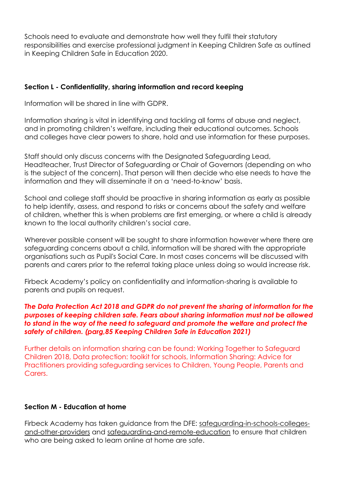Schools need to evaluate and demonstrate how well they fulfil their statutory responsibilities and exercise professional judgment in Keeping Children Safe as outlined in Keeping Children Safe in Education 2020.

#### **Section L - Confidentiality, sharing information and record keeping**

Information will be shared in line with GDPR.

Information sharing is vital in identifying and tackling all forms of abuse and neglect, and in promoting children's welfare, including their educational outcomes. Schools and colleges have clear powers to share, hold and use information for these purposes.

Staff should only discuss concerns with the Designated Safeguarding Lead, Headteacher, Trust Director of Safeguarding or Chair of Governors (depending on who is the subject of the concern). That person will then decide who else needs to have the information and they will disseminate it on a 'need-to-know' basis.

School and college staff should be proactive in sharing information as early as possible to help identify, assess, and respond to risks or concerns about the safety and welfare of children, whether this is when problems are first emerging, or where a child is already known to the local authority children's social care.

Wherever possible consent will be sought to share information however where there are safeguarding concerns about a child, information will be shared with the appropriate organisations such as Pupil's Social Care. In most cases concerns will be discussed with parents and carers prior to the referral taking place unless doing so would increase risk.

Firbeck Academy's policy on confidentiality and information-sharing is available to parents and pupils on request.

#### *The Data Protection Act 2018 and GDPR do not prevent the sharing of information for the purposes of keeping children safe. Fears about sharing information must not be allowed to stand in the way of the need to safeguard and promote the welfare and protect the safety of children. (parg,85 Keeping Children Safe in Education 2021)*

Further details on information sharing can be found: Working Together to Safeguard Children 2018, Data protection: toolkit for schools, Information Sharing: Advice for Practitioners providing safeguarding services to Children, Young People, Parents and Carers.

#### **Section M - Education at home**

Firbeck Academy has taken guidance from the DFE: safeguarding-in-schools-collegesand-other-providers and safeguarding-and-remote-education to ensure that children who are being asked to learn online at home are safe.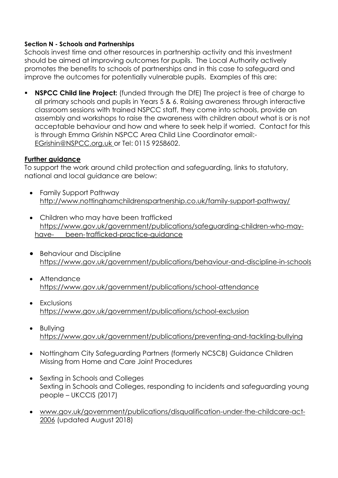#### **Section N - Schools and Partnerships**

Schools invest time and other resources in partnership activity and this investment should be aimed at improving outcomes for pupils. The Local Authority actively promotes the benefits to schools of partnerships and in this case to safeguard and improve the outcomes for potentially vulnerable pupils. Examples of this are:

**EXPCC Child line Project:** (funded through the DfE) The project is free of charge to all primary schools and pupils in Years 5 & 6. Raising awareness through interactive classroom sessions with trained NSPCC staff, they come into schools, provide an assembly and workshops to raise the awareness with children about what is or is not acceptable behaviour and how and where to seek help if worried. Contact for this is through Emma Grishin NSPCC Area Child Line Coordinator email:- [EGrishin@NSPCC.org.uk](mailto:EGrishin@NSPCC.org.uk) or Tel: 0115 9258602.

#### **Further guidance**

To support the work around child protection and safeguarding, links to statutory, national and local guidance are below:

- Family Support Pathway <http://www.nottinghamchildrenspartnership.co.uk/family-support-pathway/>
- Children who may have been trafficked [https://www.gov.uk/government/publications/safeguarding-children-who-may](https://www.gov.uk/government/publications/safeguarding-children-who-may-have-%09been-%09trafficked-)have- [been-trafficked-p](https://www.gov.uk/government/publications/safeguarding-children-who-may-have-%09been-%09trafficked-)ractice-guidance
- Behaviour and Discipline <https://www.gov.uk/government/publications/behaviour-and-discipline-in-schools>
- Attendance <https://www.gov.uk/government/publications/school-attendance>
- Exclusions <https://www.gov.uk/government/publications/school-exclusion>
- Bullying <https://www.gov.uk/government/publications/preventing-and-tackling-bullying>
- Nottingham City Safeguarding Partners (formerly NCSCB) Guidance Children Missing from Home and Care Joint Procedures
- Sexting in Schools and Colleges Sexting in Schools and Colleges, responding to incidents and safeguarding young people – UKCCIS (2017)
- [www.gov.uk/government/publications/disqualification-under-the-childcare-act-](http://www.gov.uk/government/publications/disqualification-under-the-childcare-act-2006)[2006](http://www.gov.uk/government/publications/disqualification-under-the-childcare-act-2006) (updated August 2018)